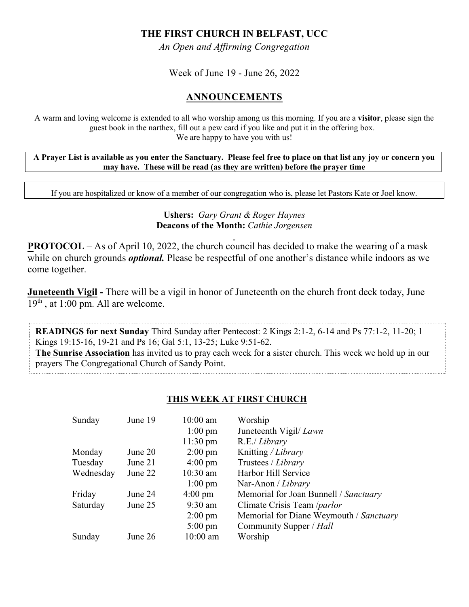# **THE FIRST CHURCH IN BELFAST, UCC**

*An Open and Affirming Congregation*

Week of June 19 - June 26, 2022

## **ANNOUNCEMENTS**

A warm and loving welcome is extended to all who worship among us this morning. If you are a **visitor**, please sign the guest book in the narthex, fill out a pew card if you like and put it in the offering box. We are happy to have you with us!

**A Prayer List is available as you enter the Sanctuary. Please feel free to place on that list any joy or concern you may have. These will be read (as they are written) before the prayer time**

If you are hospitalized or know of a member of our congregation who is, please let Pastors Kate or Joel know.

#### **Ushers:** *Gary Grant & Roger Haynes* **Deacons of the Month:** *Cathie Jorgensen*

**PROTOCOL** – As of April 10, 2022, the church council has decided to make the wearing of a mask while on church grounds *optional*. Please be respectful of one another's distance while indoors as we come together.

**Juneteenth Vigil -** There will be a vigil in honor of Juneteenth on the church front deck today, June 19<sup>th</sup>, at 1:00 pm. All are welcome.

**READINGS for next Sunday** Third Sunday after Pentecost: 2 Kings 2:1-2, 6-14 and Ps 77:1-2, 11-20; 1 Kings 19:15-16, 19-21 and Ps 16; Gal 5:1, 13-25; Luke 9:51-62.

**The Sunrise Association** has invited us to pray each week for a sister church. This week we hold up in our prayers The Congregational Church of Sandy Point.

#### **THIS WEEK AT FIRST CHURCH**

| Sunday    | June 19 | $10:00$ am         | Worship                                 |
|-----------|---------|--------------------|-----------------------------------------|
|           |         | $1:00 \text{ pm}$  | Juneteenth Vigil/ <i>Lawn</i>           |
|           |         | $11:30 \text{ pm}$ | R.E./ Library                           |
| Monday    | June 20 | $2:00 \text{ pm}$  | Knitting / Library                      |
| Tuesday   | June 21 | $4:00 \text{ pm}$  | Trustees / Library                      |
| Wednesday | June 22 | $10:30$ am         | Harbor Hill Service                     |
|           |         | $1:00 \text{ pm}$  | Nar-Anon / Library                      |
| Friday    | June 24 | $4:00 \text{ pm}$  | Memorial for Joan Bunnell / Sanctuary   |
| Saturday  | June 25 | $9:30$ am          | Climate Crisis Team /parlor             |
|           |         | $2:00 \text{ pm}$  | Memorial for Diane Weymouth / Sanctuary |
|           |         | $5:00 \text{ pm}$  | Community Supper / Hall                 |
| Sunday    | June 26 | $10:00$ am         | Worship                                 |